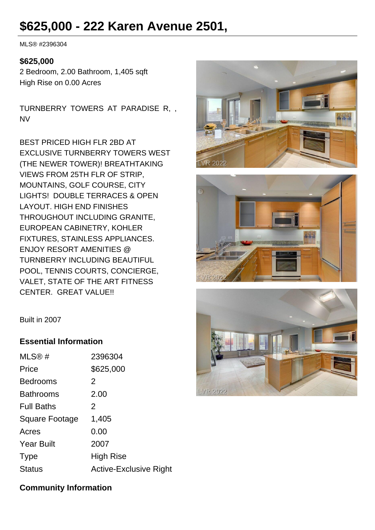# **\$625,000 - 222 Karen Avenue 2501,**

MLS® #2396304

#### **\$625,000**

2 Bedroom, 2.00 Bathroom, 1,405 sqft High Rise on 0.00 Acres

TURNBERRY TOWERS AT PARADISE R, , NV

BEST PRICED HIGH FLR 2BD AT EXCLUSIVE TURNBERRY TOWERS WEST (THE NEWER TOWER)! BREATHTAKING VIEWS FROM 25TH FLR OF STRIP, MOUNTAINS, GOLF COURSE, CITY LIGHTS! DOUBLE TERRACES & OPEN LAYOUT. HIGH END FINISHES THROUGHOUT INCLUDING GRANITE, EUROPEAN CABINETRY, KOHLER FIXTURES, STAINLESS APPLIANCES. ENJOY RESORT AMENITIES @ TURNBERRY INCLUDING BEAUTIFUL POOL, TENNIS COURTS, CONCIERGE, VALET, STATE OF THE ART FITNESS CENTER. GREAT VALUE!!







Built in 2007

#### **Essential Information**

| MLS®#             | 2396304                       |
|-------------------|-------------------------------|
| Price             | \$625,000                     |
| <b>Bedrooms</b>   | 2                             |
| Bathrooms         | 2.00                          |
| <b>Full Baths</b> | 2                             |
| Square Footage    | 1,405                         |
| Acres             | 0.00                          |
| <b>Year Built</b> | 2007                          |
| <b>Type</b>       | High Rise                     |
| <b>Status</b>     | <b>Active-Exclusive Right</b> |

## **Community Information**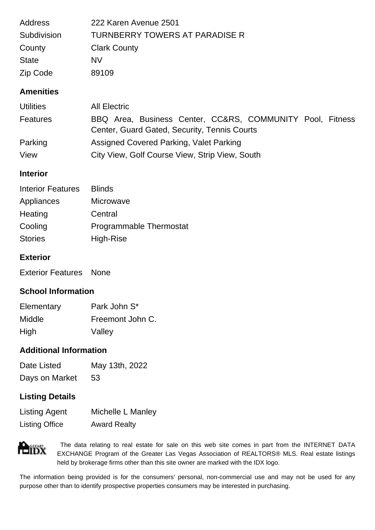| Subdivision<br>County | TURNBERRY TOWERS AT PARADISE R<br><b>Clark County</b> |  |
|-----------------------|-------------------------------------------------------|--|
| <b>State</b>          | <b>NV</b>                                             |  |
| Zip Code              | 89109                                                 |  |

| <b>Utilities</b> | <b>All Electric</b>                                                                                       |
|------------------|-----------------------------------------------------------------------------------------------------------|
| Features         | BBQ Area, Business Center, CC&RS, COMMUNITY Pool, Fitness<br>Center, Guard Gated, Security, Tennis Courts |
| Parking          | Assigned Covered Parking, Valet Parking                                                                   |
| View             | City View, Golf Course View, Strip View, South                                                            |

## **Interior**

| <b>Blinds</b>                  |
|--------------------------------|
| Microwave                      |
| Central                        |
| <b>Programmable Thermostat</b> |
| High-Rise                      |
|                                |

## **Exterior**

Exterior Features None

## **School Information**

| Elementary    | Park John S*     |
|---------------|------------------|
| <b>Middle</b> | Freemont John C. |
| High          | Valley           |

#### **Additional Information**

| Date Listed    | May 13th, 2022 |
|----------------|----------------|
| Days on Market | 53             |

## **Listing Details**

| <b>Listing Agent</b>  | Michelle L Manley   |
|-----------------------|---------------------|
| <b>Listing Office</b> | <b>Award Realty</b> |



 The data relating to real estate for sale on this web site comes in part from the INTERNET DATA EXCHANGE Program of the Greater Las Vegas Association of REALTORS® MLS. Real estate listings held by brokerage firms other than this site owner are marked with the IDX logo.

The information being provided is for the consumers' personal, non-commercial use and may not be used for any purpose other than to identify prospective properties consumers may be interested in purchasing.